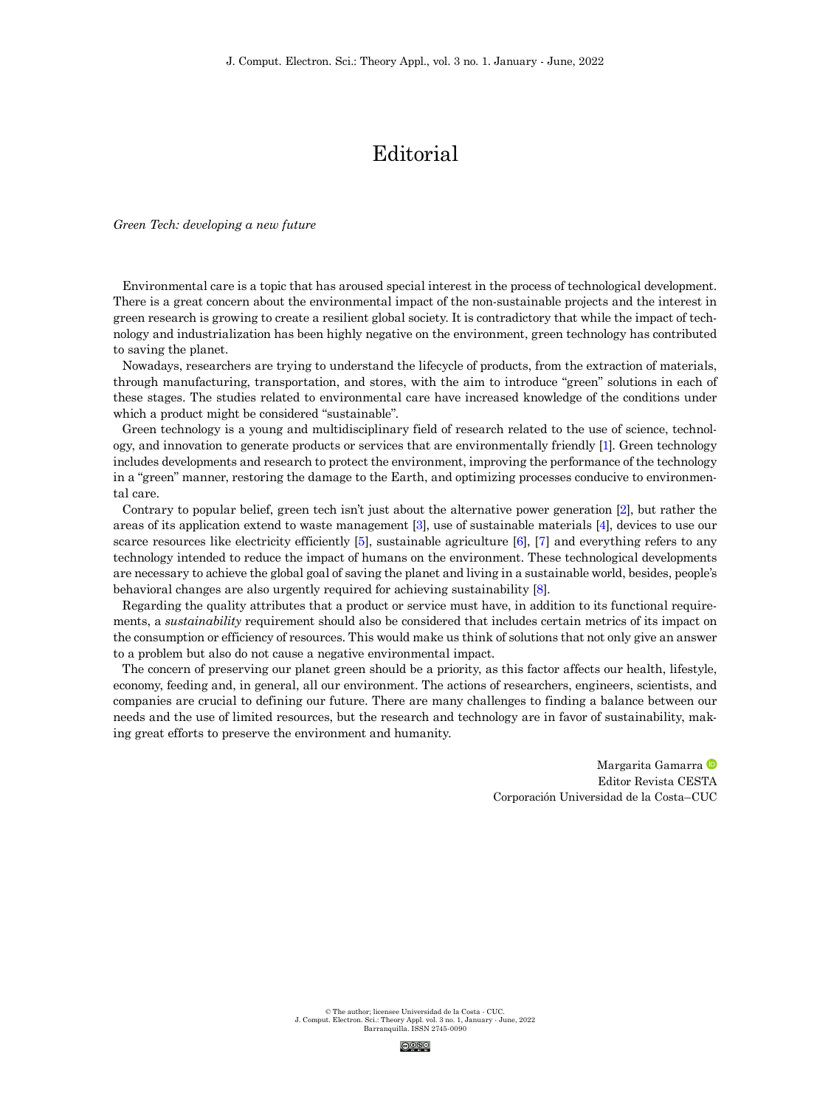© The author; licensee Universidad de la Costa - CUC. J. Comput. Electron. Sci.: Theory Appl. vol. 3 no. 1, January - June, 2022 Barranquilla. ISSN 2745-0090



## Editorial

*Green Tech: developing a new future*

Environmental care is a topic that has aroused special interest in the process of technological development. There is a great concern about the environmental impact of the non-sustainable projects and the interest in green research is growing to create a resilient global society. It is contradictory that while the impact of technology and industrialization has been highly negative on the environment, green technology has contributed to saving the planet.

Nowadays, researchers are trying to understand the lifecycle of products, from the extraction of materials, through manufacturing, transportation, and stores, with the aim to introduce "green" solutions in each of these stages. The studies related to environmental care have increased knowledge of the conditions under which a product might be considered "sustainable".

Green technology is a young and multidisciplinary field of research related to the use of science, technology, and innovation to generate products or services that are environmentally friendly [\[1\]](#page-1-0). Green technology includes developments and research to protect the environment, improving the performance of the technology in a "green" manner, restoring the damage to the Earth, and optimizing processes conducive to environmental care.

Contrary to popular belief, green tech isn't just about the alternative power generation [\[2\]](#page-1-1), but rather the areas of its application extend to waste management [\[3](#page-1-2)], use of sustainable materials [\[4](#page-1-3)], devices to use our scarce resources like electricity efficiently [\[5](#page-1-4)], sustainable agriculture [\[6\]](#page-1-5), [\[7](#page-1-6)] and everything refers to any technology intended to reduce the impact of humans on the environment. These technological developments are necessary to achieve the global goal of saving the planet and living in a sustainable world, besides, people's behavioral changes are also urgently required for achieving sustainability [\[8](#page-1-7)].

Regarding the quality attributes that a product or service must have, in addition to its functional requirements, a *sustainability* requirement should also be considered that includes certain metrics of its impact on the consumption or efficiency of resources. This would make us think of solutions that not only give an answer to a problem but also do not cause a negative environmental impact.

The concern of preserving our planet green should be a priority, as this factor affects our health, lifestyle, economy, feeding and, in general, all our environment. The actions of researchers, engineers, scientists, and companies are crucial to defining our future. There are many challenges to finding a balance between our needs and the use of limited resources, but the research and technology are in favor of sustainability, making great efforts to preserve the environment and humanity.

> <span id="page-0-7"></span><span id="page-0-6"></span><span id="page-0-5"></span><span id="page-0-4"></span><span id="page-0-3"></span><span id="page-0-2"></span><span id="page-0-1"></span><span id="page-0-0"></span>Margarita Gamarra Editor Revista CESTA Corporación Universidad de la Costa–CUC